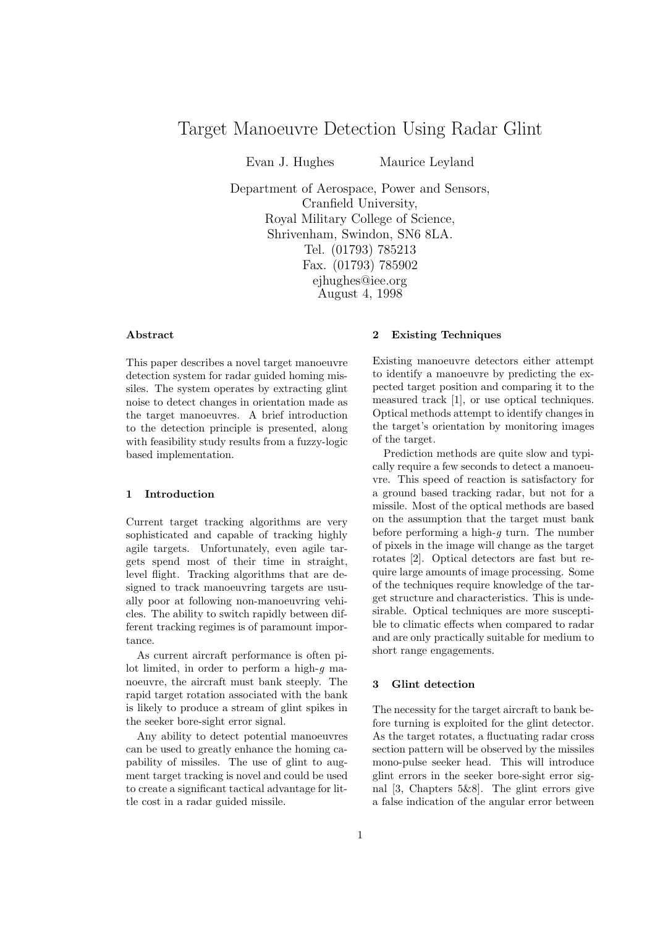# Target Manoeuvre Detection Using Radar Glint

Evan J. Hughes Maurice Leyland

Department of Aerospace, Power and Sensors, Cranfield University, Royal Military College of Science, Shrivenham, Swindon, SN6 8LA. Tel. (01793) 785213 Fax. (01793) 785902 ejhughes@iee.org August 4, 1998

## Abstract

This paper describes a novel target manoeuvre detection system for radar guided homing missiles. The system operates by extracting glint noise to detect changes in orientation made as the target manoeuvres. A brief introduction to the detection principle is presented, along with feasibility study results from a fuzzy-logic based implementation.

## 1 Introduction

Current target tracking algorithms are very sophisticated and capable of tracking highly agile targets. Unfortunately, even agile targets spend most of their time in straight, level flight. Tracking algorithms that are designed to track manoeuvring targets are usually poor at following non-manoeuvring vehicles. The ability to switch rapidly between different tracking regimes is of paramount importance.

As current aircraft performance is often pilot limited, in order to perform a high- $q$  manoeuvre, the aircraft must bank steeply. The rapid target rotation associated with the bank is likely to produce a stream of glint spikes in the seeker bore-sight error signal.

Any ability to detect potential manoeuvres can be used to greatly enhance the homing capability of missiles. The use of glint to augment target tracking is novel and could be used to create a significant tactical advantage for little cost in a radar guided missile.

## 2 Existing Techniques

Existing manoeuvre detectors either attempt to identify a manoeuvre by predicting the expected target position and comparing it to the measured track [1], or use optical techniques. Optical methods attempt to identify changes in the target's orientation by monitoring images of the target.

Prediction methods are quite slow and typically require a few seconds to detect a manoeuvre. This speed of reaction is satisfactory for a ground based tracking radar, but not for a missile. Most of the optical methods are based on the assumption that the target must bank before performing a high- $q$  turn. The number of pixels in the image will change as the target rotates [2]. Optical detectors are fast but require large amounts of image processing. Some of the techniques require knowledge of the target structure and characteristics. This is undesirable. Optical techniques are more susceptible to climatic effects when compared to radar and are only practically suitable for medium to short range engagements.

## 3 Glint detection

The necessity for the target aircraft to bank before turning is exploited for the glint detector. As the target rotates, a fluctuating radar cross section pattern will be observed by the missiles mono-pulse seeker head. This will introduce glint errors in the seeker bore-sight error signal [3, Chapters 5&8]. The glint errors give a false indication of the angular error between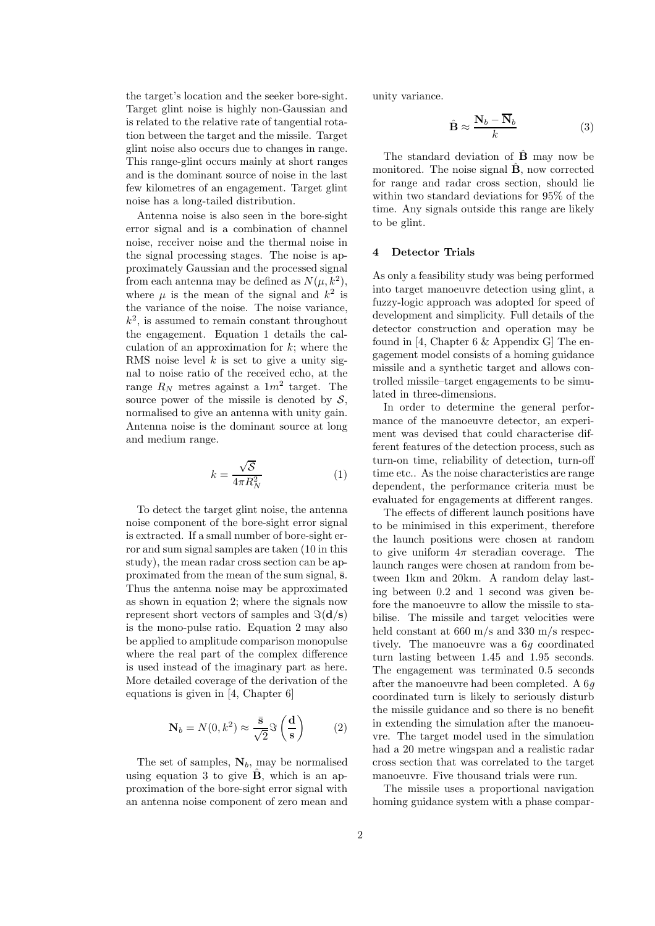the target's location and the seeker bore-sight. Target glint noise is highly non-Gaussian and is related to the relative rate of tangential rotation between the target and the missile. Target glint noise also occurs due to changes in range. This range-glint occurs mainly at short ranges and is the dominant source of noise in the last few kilometres of an engagement. Target glint noise has a long-tailed distribution.

Antenna noise is also seen in the bore-sight error signal and is a combination of channel noise, receiver noise and the thermal noise in the signal processing stages. The noise is approximately Gaussian and the processed signal from each antenna may be defined as  $N(\mu, k^2)$ , where  $\mu$  is the mean of the signal and  $k^2$  is the variance of the noise. The noise variance,  $k^2$ , is assumed to remain constant throughout the engagement. Equation 1 details the calculation of an approximation for  $k$ ; where the RMS noise level  $k$  is set to give a unity signal to noise ratio of the received echo, at the range  $R_N$  metres against a  $1m^2$  target. The source power of the missile is denoted by  $S$ , normalised to give an antenna with unity gain. Antenna noise is the dominant source at long and medium range.

$$
k = \frac{\sqrt{S}}{4\pi R_N^2} \tag{1}
$$

To detect the target glint noise, the antenna noise component of the bore-sight error signal is extracted. If a small number of bore-sight error and sum signal samples are taken (10 in this study), the mean radar cross section can be approximated from the mean of the sum signal,  $\bar{s}$ . Thus the antenna noise may be approximated as shown in equation 2; where the signals now represent short vectors of samples and  $\Im(\mathbf{d}/\mathbf{s})$ is the mono-pulse ratio. Equation 2 may also be applied to amplitude comparison monopulse where the real part of the complex difference is used instead of the imaginary part as here. More detailed coverage of the derivation of the equations is given in [4, Chapter 6]

$$
\mathbf{N}_b = N(0, k^2) \approx \frac{\bar{\mathbf{s}}}{\sqrt{2}} \Im\left(\frac{\mathbf{d}}{\mathbf{s}}\right) \tag{2}
$$

The set of samples,  $N_b$ , may be normalised using equation 3 to give  $\hat{\mathbf{B}}$ , which is an approximation of the bore-sight error signal with an antenna noise component of zero mean and unity variance.

$$
\hat{\mathbf{B}} \approx \frac{\mathbf{N}_b - \overline{\mathbf{N}}_b}{k} \tag{3}
$$

The standard deviation of  $\hat{\mathbf{B}}$  may now be monitored. The noise signal  $\hat{\mathbf{B}}$ , now corrected for range and radar cross section, should lie within two standard deviations for 95% of the time. Any signals outside this range are likely to be glint.

## 4 Detector Trials

As only a feasibility study was being performed into target manoeuvre detection using glint, a fuzzy-logic approach was adopted for speed of development and simplicity. Full details of the detector construction and operation may be found in [4, Chapter 6 & Appendix G] The engagement model consists of a homing guidance missile and a synthetic target and allows controlled missile–target engagements to be simulated in three-dimensions.

In order to determine the general performance of the manoeuvre detector, an experiment was devised that could characterise different features of the detection process, such as turn-on time, reliability of detection, turn-off time etc.. As the noise characteristics are range dependent, the performance criteria must be evaluated for engagements at different ranges.

The effects of different launch positions have to be minimised in this experiment, therefore the launch positions were chosen at random to give uniform  $4\pi$  steradian coverage. The launch ranges were chosen at random from between 1km and 20km. A random delay lasting between 0.2 and 1 second was given before the manoeuvre to allow the missile to stabilise. The missile and target velocities were held constant at 660 m/s and 330 m/s respectively. The manoeuvre was a 6g coordinated turn lasting between 1.45 and 1.95 seconds. The engagement was terminated 0.5 seconds after the manoeuvre had been completed. A 6g coordinated turn is likely to seriously disturb the missile guidance and so there is no benefit in extending the simulation after the manoeuvre. The target model used in the simulation had a 20 metre wingspan and a realistic radar cross section that was correlated to the target manoeuvre. Five thousand trials were run.

The missile uses a proportional navigation homing guidance system with a phase compar